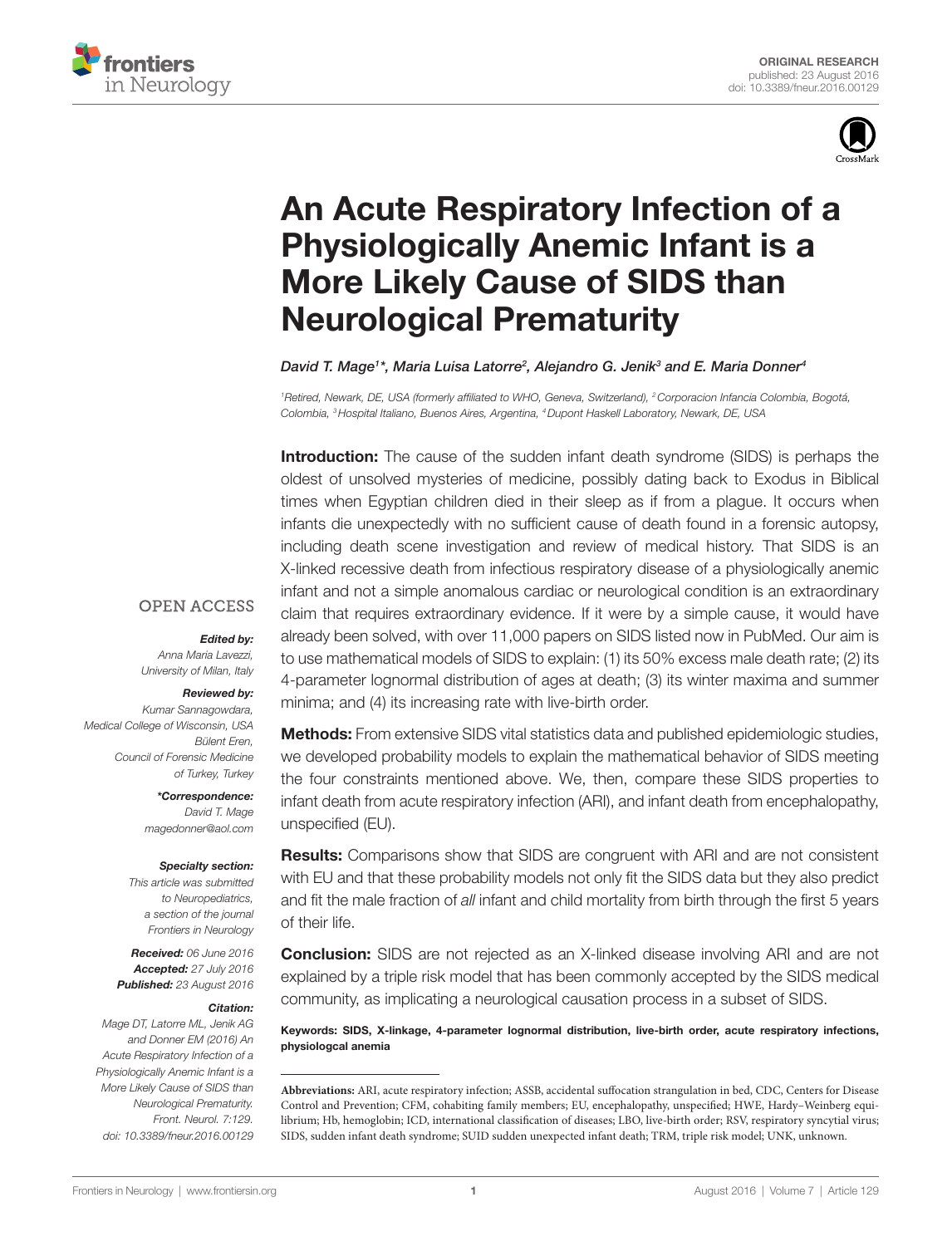



# An Acute Respiratory Infection of a **Physiologically Anemic Infant is a More Likely Cause of SIDS than Neurological Prematurity**

David T. Mage<sup>1</sup>\*, Maria Luisa Latorre<sup>2</sup>, Alejandro G. Jenik<sup>3</sup> and E. Maria Donner<sup>4</sup>

*1 Retired, Newark, DE, USA (formerly affiliated to WHO, Geneva, Switzerland), 2Corporacion Infancia Colombia, Bogotá, Colombia, 3Hospital Italiano, Buenos Aires, Argentina, 4Dupont Haskell Laboratory, Newark, DE, USA*

**Introduction:** The cause of the sudden infant death syndrome (SIDS) is perhaps the oldest of unsolved mysteries of medicine, possibly dating back to Exodus in Biblical times when Egyptian children died in their sleep as if from a plague. It occurs when infants die unexpectedly with no sufficient cause of death found in a forensic autopsy, including death scene investigation and review of medical history. That SIDS is an X-linked recessive death from infectious respiratory disease of a physiologically anemic infant and not a simple anomalous cardiac or neurological condition is an extraordinary claim that requires extraordinary evidence. If it were by a simple cause, it would have already been solved, with over 11,000 papers on SIDS listed now in PubMed. Our aim is to use mathematical models of SIDS to explain: (1) its 50% excess male death rate; (2) its 4-parameter lognormal distribution of ages at death; (3) its winter maxima and summer minima; and (4) its increasing rate with live-birth order.

### **OPEN ACCESS**

#### *Edited by:*

*Anna Maria Lavezzi, University of Milan, Italy*

#### *Reviewed by:*

*Kumar Sannagowdara, Medical College of Wisconsin, USA Bülent Eren, Council of Forensic Medicine of Turkey, Turkey*

> *\*Correspondence: David T. Mage <magedonner@aol.com>*

#### *Specialty section:*

*This article was submitted to Neuropediatrics, a section of the journal Frontiers in Neurology*

*Received: 06 June 2016 Accepted: 27 July 2016 Published: 23 August 2016*

#### *Citation:*

*Mage DT, Latorre ML, Jenik AG and Donner EM (2016) An Acute Respiratory Infection of a Physiologically Anemic Infant is a More Likely Cause of SIDS than Neurological Prematurity. Front. Neurol. 7:129. doi: [10.3389/fneur.2016.00129](http://dx.doi.org/10.3389/fneur.2016.00129)*

Methods: From extensive SIDS vital statistics data and published epidemiologic studies, we developed probability models to explain the mathematical behavior of SIDS meeting the four constraints mentioned above. We, then, compare these SIDS properties to infant death from acute respiratory infection (ARI), and infant death from encephalopathy, unspecified (EU).

**Results:** Comparisons show that SIDS are congruent with ARI and are not consistent with EU and that these probability models not only fit the SIDS data but they also predict and fit the male fraction of all infant and child mortality from birth through the first 5 years of their life.

**Conclusion:** SIDS are not rejected as an X-linked disease involving ARI and are not explained by a triple risk model that has been commonly accepted by the SIDS medical community, as implicating a neurological causation process in a subset of SIDS.

Keywords: SIDS, X-linkage, 4-parameter lognormal distribution, live-birth order, acute respiratory infections, physiologcal anemia

**Abbreviations:** ARI, acute respiratory infection; ASSB, accidental suffocation strangulation in bed, CDC, Centers for Disease Control and Prevention; CFM, cohabiting family members; EU, encephalopathy, unspecified; HWE, Hardy–Weinberg equilibrium; Hb, hemoglobin; ICD, international classification of diseases; LBO, live-birth order; RSV, respiratory syncytial virus; SIDS, sudden infant death syndrome; SUID sudden unexpected infant death; TRM, triple risk model; UNK, unknown.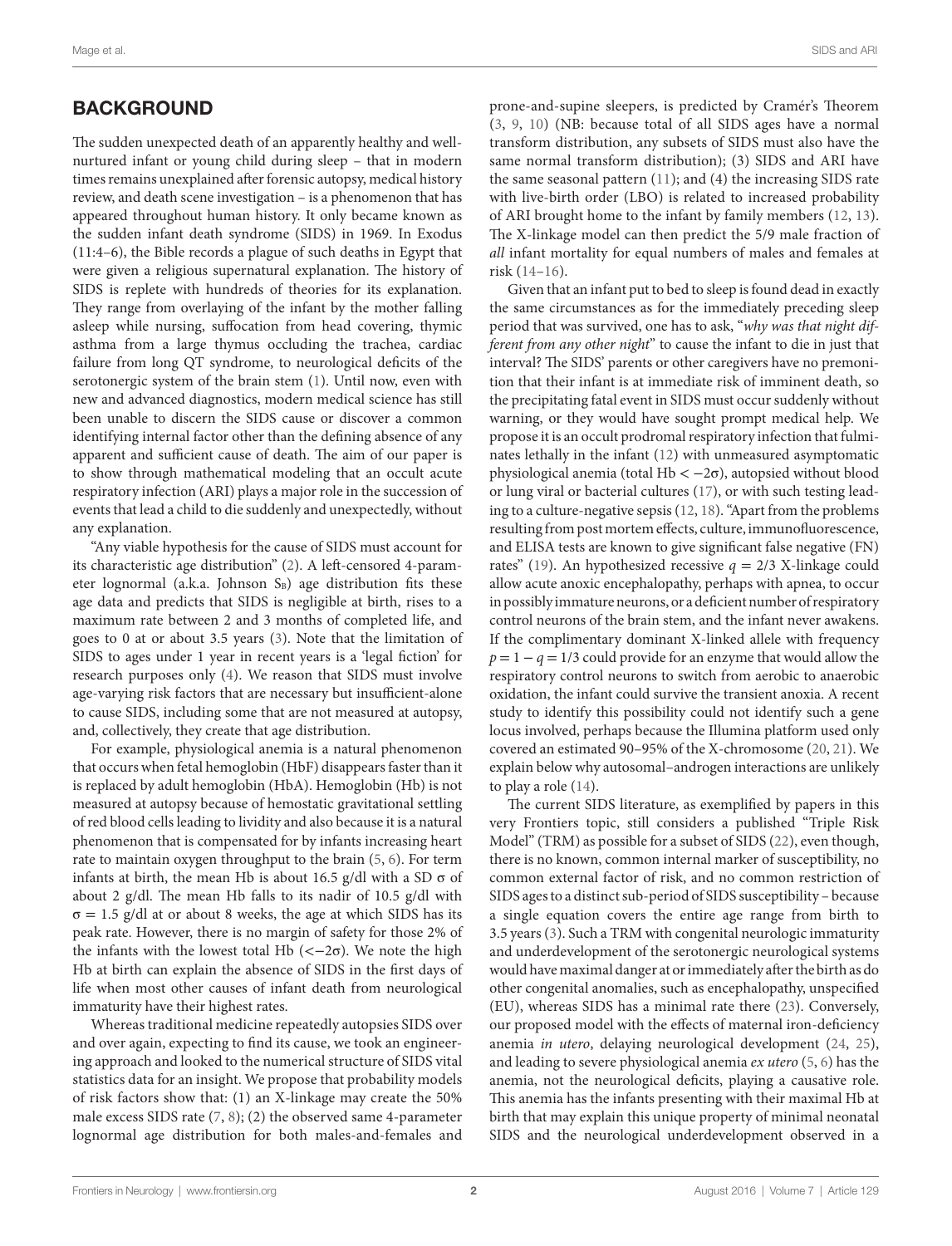# **BACKGROUND**

The sudden unexpected death of an apparently healthy and wellnurtured infant or young child during sleep – that in modern times remains unexplained after forensic autopsy, medical history review, and death scene investigation – is a phenomenon that has appeared throughout human history. It only became known as the sudden infant death syndrome (SIDS) in 1969. In Exodus (11:4–6), the Bible records a plague of such deaths in Egypt that were given a religious supernatural explanation. The history of SIDS is replete with hundreds of theories for its explanation. They range from overlaying of the infant by the mother falling asleep while nursing, suffocation from head covering, thymic asthma from a large thymus occluding the trachea, cardiac failure from long QT syndrome, to neurological deficits of the serotonergic system of the brain stem ([1\)](#page-9-0). Until now, even with new and advanced diagnostics, modern medical science has still been unable to discern the SIDS cause or discover a common identifying internal factor other than the defining absence of any apparent and sufficient cause of death. The aim of our paper is to show through mathematical modeling that an occult acute respiratory infection (ARI) plays a major role in the succession of events that lead a child to die suddenly and unexpectedly, without any explanation.

"Any viable hypothesis for the cause of SIDS must account for its characteristic age distribution" [\(2](#page-9-1)). A left-censored 4-parameter lognormal (a.k.a. Johnson  $S_B$ ) age distribution fits these age data and predicts that SIDS is negligible at birth, rises to a maximum rate between 2 and 3 months of completed life, and goes to 0 at or about 3.5 years ([3\)](#page-9-2). Note that the limitation of SIDS to ages under 1 year in recent years is a 'legal fiction' for research purposes only [\(4\)](#page-9-3). We reason that SIDS must involve age-varying risk factors that are necessary but insufficient-alone to cause SIDS, including some that are not measured at autopsy, and, collectively, they create that age distribution.

For example, physiological anemia is a natural phenomenon that occurs when fetal hemoglobin (HbF) disappears faster than it is replaced by adult hemoglobin (HbA). Hemoglobin (Hb) is not measured at autopsy because of hemostatic gravitational settling of red blood cells leading to lividity and also because it is a natural phenomenon that is compensated for by infants increasing heart rate to maintain oxygen throughput to the brain ([5,](#page-9-4) [6\)](#page-9-5). For term infants at birth, the mean Hb is about 16.5 g/dl with a SD  $\sigma$  of about 2 g/dl. The mean Hb falls to its nadir of 10.5 g/dl with  $\sigma = 1.5$  g/dl at or about 8 weeks, the age at which SIDS has its peak rate. However, there is no margin of safety for those 2% of the infants with the lowest total Hb  $\left(\langle -2\sigma \right)$ . We note the high Hb at birth can explain the absence of SIDS in the first days of life when most other causes of infant death from neurological immaturity have their highest rates.

Whereas traditional medicine repeatedly autopsies SIDS over and over again, expecting to find its cause, we took an engineering approach and looked to the numerical structure of SIDS vital statistics data for an insight. We propose that probability models of risk factors show that: (1) an X-linkage may create the 50% male excess SIDS rate ([7](#page-9-6), [8](#page-9-7)); (2) the observed same 4-parameter lognormal age distribution for both males-and-females and prone-and-supine sleepers, is predicted by Cramér's Theorem [\(3](#page-9-2), [9,](#page-9-8) [10](#page-9-9)) (NB: because total of all SIDS ages have a normal transform distribution, any subsets of SIDS must also have the same normal transform distribution); (3) SIDS and ARI have the same seasonal pattern [\(11\)](#page-9-10); and (4) the increasing SIDS rate with live-birth order (LBO) is related to increased probability of ARI brought home to the infant by family members [\(12,](#page-9-11) [13](#page-9-12)). The X-linkage model can then predict the 5/9 male fraction of *all* infant mortality for equal numbers of males and females at risk [\(14](#page-9-13)[–16\)](#page-9-14).

Given that an infant put to bed to sleep is found dead in exactly the same circumstances as for the immediately preceding sleep period that was survived, one has to ask, "*why was that night different from any other night*" to cause the infant to die in just that interval? The SIDS' parents or other caregivers have no premonition that their infant is at immediate risk of imminent death, so the precipitating fatal event in SIDS must occur suddenly without warning, or they would have sought prompt medical help. We propose it is an occult prodromal respiratory infection that fulminates lethally in the infant [\(12](#page-9-11)) with unmeasured asymptomatic physiological anemia (total Hb < −2σ), autopsied without blood or lung viral or bacterial cultures ([17\)](#page-9-15), or with such testing leading to a culture-negative sepsis [\(12](#page-9-11), [18](#page-9-16)). "Apart from the problems resulting from post mortem effects, culture, immunofluorescence, and ELISA tests are known to give significant false negative (FN) rates" ([19\)](#page-9-17). An hypothesized recessive  $q = 2/3$  X-linkage could allow acute anoxic encephalopathy, perhaps with apnea, to occur in possibly immature neurons, or a deficient number of respiratory control neurons of the brain stem, and the infant never awakens. If the complimentary dominant X-linked allele with frequency  $p = 1 - q = 1/3$  could provide for an enzyme that would allow the respiratory control neurons to switch from aerobic to anaerobic oxidation, the infant could survive the transient anoxia. A recent study to identify this possibility could not identify such a gene locus involved, perhaps because the Illumina platform used only covered an estimated 90–95% of the X-chromosome ([20,](#page-9-18) [21](#page-9-19)). We explain below why autosomal–androgen interactions are unlikely to play a role [\(14](#page-9-13)).

The current SIDS literature, as exemplified by papers in this very Frontiers topic, still considers a published "Triple Risk Model" (TRM) as possible for a subset of SIDS [\(22\)](#page-9-20), even though, there is no known, common internal marker of susceptibility, no common external factor of risk, and no common restriction of SIDS ages to a distinct sub-period of SIDS susceptibility – because a single equation covers the entire age range from birth to 3.5 years ([3](#page-9-2)). Such a TRM with congenital neurologic immaturity and underdevelopment of the serotonergic neurological systems would have maximal danger at or immediately after the birth as do other congenital anomalies, such as encephalopathy, unspecified (EU), whereas SIDS has a minimal rate there [\(23](#page-9-21)). Conversely, our proposed model with the effects of maternal iron-deficiency anemia *in utero*, delaying neurological development ([24](#page-9-22), [25](#page-9-23)), and leading to severe physiological anemia *ex utero* ([5](#page-9-4), [6\)](#page-9-5) has the anemia, not the neurological deficits, playing a causative role. This anemia has the infants presenting with their maximal Hb at birth that may explain this unique property of minimal neonatal SIDS and the neurological underdevelopment observed in a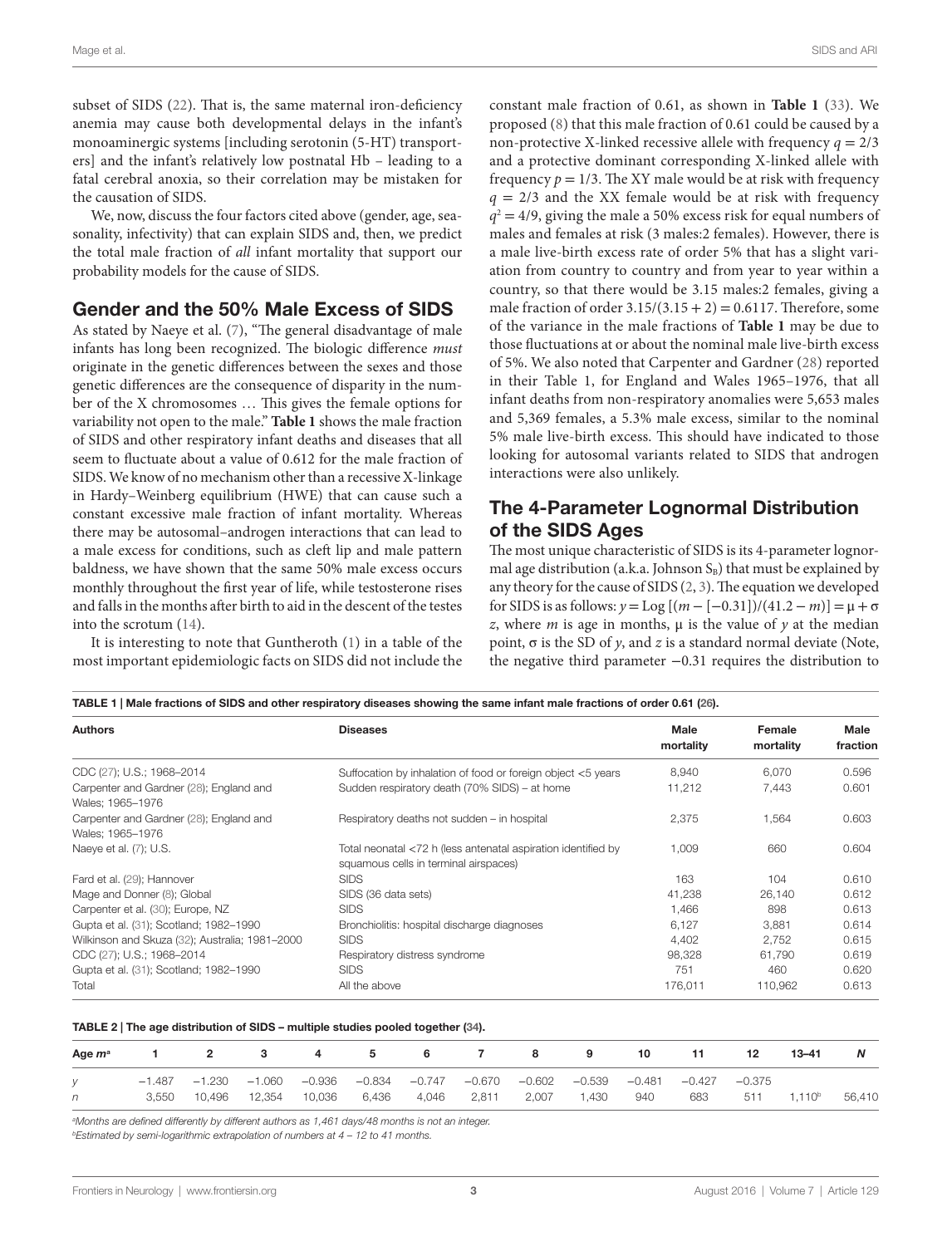subset of SIDS ([22](#page-9-20)). That is, the same maternal iron-deficiency anemia may cause both developmental delays in the infant's monoaminergic systems [including serotonin (5-HT) transporters] and the infant's relatively low postnatal Hb – leading to a fatal cerebral anoxia, so their correlation may be mistaken for the causation of SIDS.

We, now, discuss the four factors cited above (gender, age, seasonality, infectivity) that can explain SIDS and, then, we predict the total male fraction of *all* infant mortality that support our probability models for the cause of SIDS.

### Gender and the 50% Male Excess of SIDS

As stated by Naeye et al. ([7](#page-9-6)), "The general disadvantage of male infants has long been recognized. The biologic difference *must* originate in the genetic differences between the sexes and those genetic differences are the consequence of disparity in the number of the X chromosomes … This gives the female options for variability not open to the male." **[Table 1](#page-2-0)** shows the male fraction of SIDS and other respiratory infant deaths and diseases that all seem to fluctuate about a value of 0.612 for the male fraction of SIDS. We know of no mechanism other than a recessive X-linkage in Hardy–Weinberg equilibrium (HWE) that can cause such a constant excessive male fraction of infant mortality. Whereas there may be autosomal–androgen interactions that can lead to a male excess for conditions, such as cleft lip and male pattern baldness, we have shown that the same 50% male excess occurs monthly throughout the first year of life, while testosterone rises and falls in the months after birth to aid in the descent of the testes into the scrotum ([14\)](#page-9-13).

It is interesting to note that Guntheroth [\(1](#page-9-0)) in a table of the most important epidemiologic facts on SIDS did not include the

constant male fraction of 0.61, as shown in **[Table 1](#page-2-0)** [\(33\)](#page-10-6). We proposed ([8](#page-9-7)) that this male fraction of 0.61 could be caused by a non-protective X-linked recessive allele with frequency  $q = 2/3$ and a protective dominant corresponding X-linked allele with frequency  $p = 1/3$ . The XY male would be at risk with frequency  $q = 2/3$  and the XX female would be at risk with frequency  $q^2 = 4/9$ , giving the male a 50% excess risk for equal numbers of males and females at risk (3 males:2 females). However, there is a male live-birth excess rate of order 5% that has a slight variation from country to country and from year to year within a country, so that there would be 3.15 males:2 females, giving a male fraction of order  $3.15/(3.15 + 2) = 0.6117$ . Therefore, some of the variance in the male fractions of **[Table 1](#page-2-0)** may be due to those fluctuations at or about the nominal male live-birth excess of 5%. We also noted that Carpenter and Gardner ([28](#page-10-0)) reported in their Table 1, for England and Wales 1965–1976, that all infant deaths from non-respiratory anomalies were 5,653 males and 5,369 females, a 5.3% male excess, similar to the nominal 5% male live-birth excess. This should have indicated to those looking for autosomal variants related to SIDS that androgen interactions were also unlikely.

### The 4-Parameter Lognormal Distribution of the SIDS Ages

The most unique characteristic of SIDS is its 4-parameter lognormal age distribution (a.k.a. Johnson  $S_B$ ) that must be explained by any theory for the cause of SIDS ([2](#page-9-1), [3\)](#page-9-2). The equation we developed for SIDS is as follows: *y* = Log [(*m* − [−0.31])/(41.2 − *m*)] = μ + σ *z*, where *m* is age in months,  $\mu$  is the value of *y* at the median point,  $\sigma$  is the SD of *y*, and *z* is a standard normal deviate (Note, the negative third parameter −0.31 requires the distribution to

<span id="page-2-0"></span>

| TABLE 1   Male fractions of SIDS and other respiratory diseases showing the same infant male fractions of order 0.61 (26). |                                                                                                        |                          |                     |                  |  |  |  |  |  |
|----------------------------------------------------------------------------------------------------------------------------|--------------------------------------------------------------------------------------------------------|--------------------------|---------------------|------------------|--|--|--|--|--|
| <b>Authors</b>                                                                                                             | <b>Diseases</b>                                                                                        | <b>Male</b><br>mortality | Female<br>mortality | Male<br>fraction |  |  |  |  |  |
| CDC (27); U.S.; 1968-2014                                                                                                  | Suffocation by inhalation of food or foreign object <5 years                                           | 8.940                    | 6.070               | 0.596            |  |  |  |  |  |
| Carpenter and Gardner (28); England and<br>Wales: 1965-1976                                                                | Sudden respiratory death (70% SIDS) – at home                                                          | 11,212                   | 7,443               | 0.601            |  |  |  |  |  |
| Carpenter and Gardner (28); England and<br>Wales: 1965-1976                                                                | Respiratory deaths not sudden - in hospital                                                            | 2,375                    | 1,564               | 0.603            |  |  |  |  |  |
| Naeye et al. (7); U.S.                                                                                                     | Total neonatal <72 h (less antenatal aspiration identified by<br>squamous cells in terminal airspaces) | 1.009                    | 660                 | 0.604            |  |  |  |  |  |
| Fard et al. (29); Hannover                                                                                                 | <b>SIDS</b>                                                                                            | 163                      | 104                 | 0.610            |  |  |  |  |  |
| Mage and Donner (8); Global                                                                                                | SIDS (36 data sets)                                                                                    | 41,238                   | 26.140              | 0.612            |  |  |  |  |  |
| Carpenter et al. (30); Europe, NZ                                                                                          | <b>SIDS</b>                                                                                            | 1,466                    | 898                 | 0.613            |  |  |  |  |  |
| Gupta et al. (31); Scotland; 1982-1990                                                                                     | Bronchiolitis: hospital discharge diagnoses                                                            | 6.127                    | 3.881               | 0.614            |  |  |  |  |  |
| Wilkinson and Skuza (32); Australia; 1981-2000                                                                             | <b>SIDS</b>                                                                                            | 4,402                    | 2.752               | 0.615            |  |  |  |  |  |
| CDC (27); U.S.; 1968-2014                                                                                                  | Respiratory distress syndrome                                                                          | 98,328                   | 61.790              | 0.619            |  |  |  |  |  |
| Gupta et al. (31); Scotland; 1982-1990                                                                                     | <b>SIDS</b>                                                                                            | 751                      | 460                 | 0.620            |  |  |  |  |  |
| Total                                                                                                                      | All the above                                                                                          | 176,011                  | 110,962             | 0.613            |  |  |  |  |  |

#### <span id="page-2-1"></span>TABLE 2 | The age distribution of SIDS – multiple studies pooled together ([34\)](#page-10-5).

| Age $m^a$ |       | 2      |               | 4                                                              | 5     | 6     |             | 8        | 9                 | 10  |            | 12     | $13 - 41$   |        |
|-----------|-------|--------|---------------|----------------------------------------------------------------|-------|-------|-------------|----------|-------------------|-----|------------|--------|-------------|--------|
|           |       |        |               | $-1.487$ $-1.230$ $-1.060$ $-0.936$ $-0.834$ $-0.747$ $-0.670$ |       |       |             | $-0.602$ | $-0.539$ $-0.481$ |     | $-0.427 -$ | -0.375 |             |        |
| n         | 3.550 | 10.496 | 12,354 10,036 |                                                                | 6.436 | 4,046 | 2,811 2,007 |          | 1.430             | 940 | 683        | 511    | $1.110^{b}$ | 56,410 |

*a Months are defined differently by different authors as 1,461 days/48 months is not an integer. bEstimated by semi-logarithmic extrapolation of numbers at 4 – 12 to 41 months.*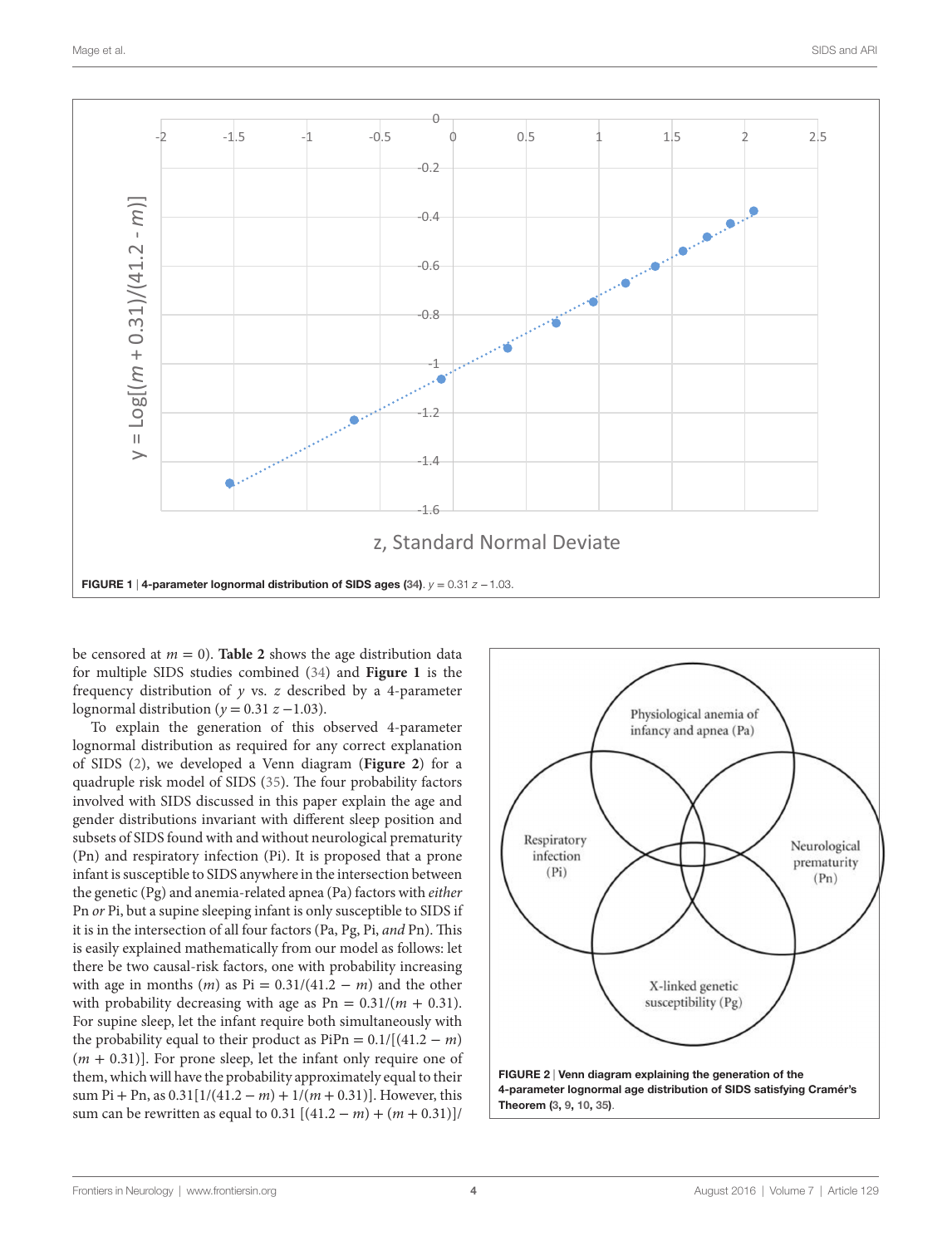

<span id="page-3-0"></span>be censored at  $m = 0$ ). **[Table 2](#page-2-1)** shows the age distribution data for multiple SIDS studies combined [\(34](#page-10-5)) and **[Figure 1](#page-3-0)** is the frequency distribution of *y* vs. *z* described by a 4-parameter lognormal distribution ( $y = 0.31 z - 1.03$ ).

To explain the generation of this observed 4-parameter lognormal distribution as required for any correct explanation of SIDS ([2](#page-9-1)), we developed a Venn diagram (**[Figure 2](#page-3-1)**) for a quadruple risk model of SIDS [\(35](#page-10-7)). The four probability factors involved with SIDS discussed in this paper explain the age and gender distributions invariant with different sleep position and subsets of SIDS found with and without neurological prematurity (Pn) and respiratory infection (Pi). It is proposed that a prone infant is susceptible to SIDS anywhere in the intersection between the genetic (Pg) and anemia-related apnea (Pa) factors with *either* Pn *or* Pi, but a supine sleeping infant is only susceptible to SIDS if it is in the intersection of all four factors (Pa, Pg, Pi, *and* Pn). This is easily explained mathematically from our model as follows: let there be two causal-risk factors, one with probability increasing with age in months  $(m)$  as Pi =  $0.31/(41.2 - m)$  and the other with probability decreasing with age as  $Pn = 0.31/(m + 0.31)$ . For supine sleep, let the infant require both simultaneously with the probability equal to their product as  $PiPn = 0.1/[(41.2 - m)]$ (*m* + 0.31)]. For prone sleep, let the infant only require one of them, which will have the probability approximately equal to their sum Pi + Pn, as  $0.31[1/(41.2 - m) + 1/(m + 0.31)]$ . However, this sum can be rewritten as equal to 0.31 [(41.2 − *m*) + (*m* + 0.31)]/

<span id="page-3-1"></span>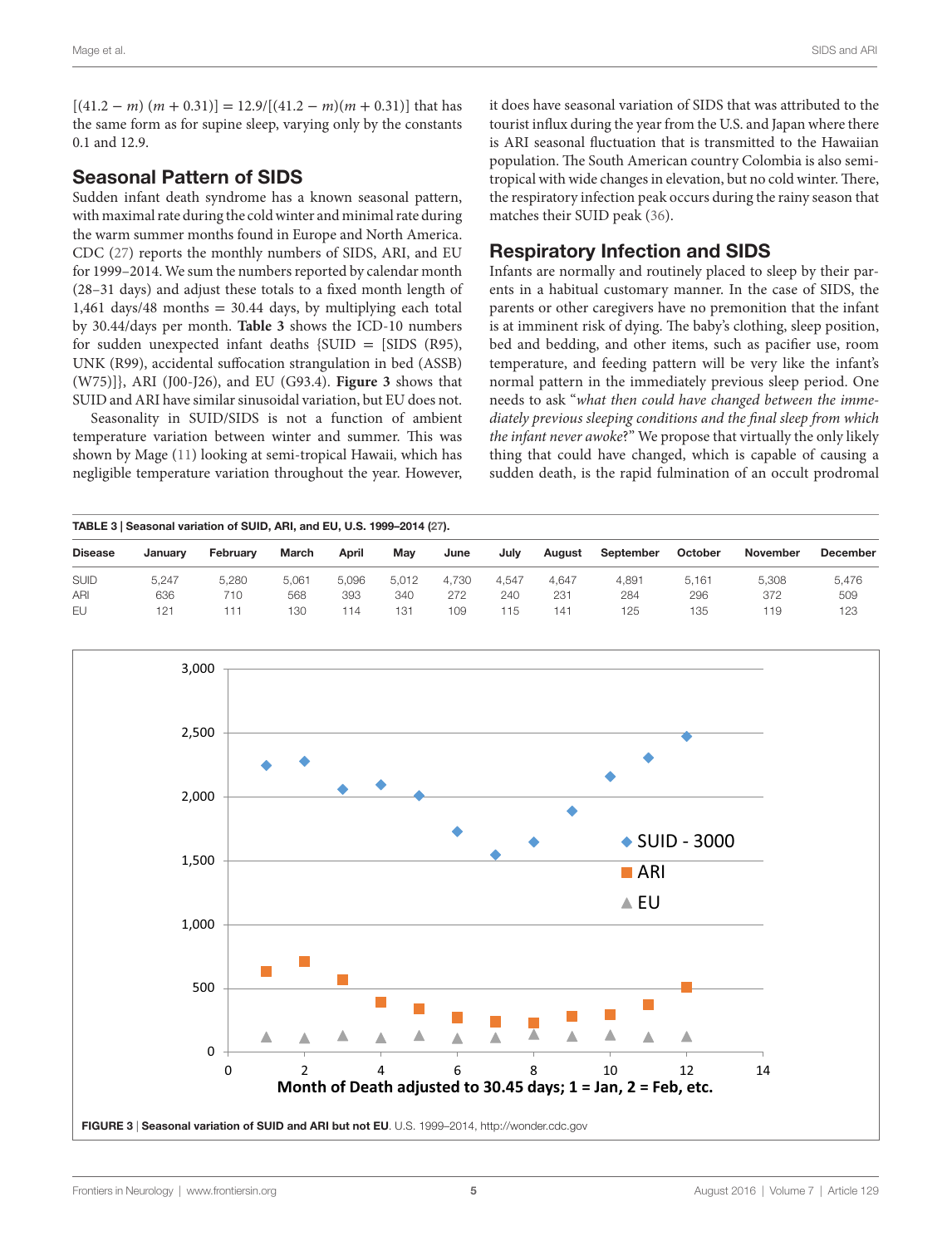$[(41.2 - m) (m + 0.31)] = 12.9/[(41.2 - m)(m + 0.31)]$  that has the same form as for supine sleep, varying only by the constants 0.1 and 12.9.

## Seasonal Pattern of SIDS

Sudden infant death syndrome has a known seasonal pattern, with maximal rate during the cold winter and minimal rate during the warm summer months found in Europe and North America. CDC [\(27\)](#page-9-25) reports the monthly numbers of SIDS, ARI, and EU for 1999–2014. We sum the numbers reported by calendar month (28–31 days) and adjust these totals to a fixed month length of 1,461 days/48 months  $= 30.44$  days, by multiplying each total by 30.44/days per month. **[Table 3](#page-4-0)** shows the ICD-10 numbers for sudden unexpected infant deaths  $\{SUID = [SIDS (R95),$ UNK (R99), accidental suffocation strangulation in bed (ASSB) (W75)]}, ARI (J00-J26), and EU (G93.4). **[Figure 3](#page-4-1)** shows that SUID and ARI have similar sinusoidal variation, but EU does not.

Seasonality in SUID/SIDS is not a function of ambient temperature variation between winter and summer. This was shown by Mage ([11\)](#page-9-10) looking at semi-tropical Hawaii, which has negligible temperature variation throughout the year. However, it does have seasonal variation of SIDS that was attributed to the tourist influx during the year from the U.S. and Japan where there is ARI seasonal fluctuation that is transmitted to the Hawaiian population. The South American country Colombia is also semitropical with wide changes in elevation, but no cold winter. There, the respiratory infection peak occurs during the rainy season that matches their SUID peak ([36](#page-10-8)).

# Respiratory Infection and SIDS

Infants are normally and routinely placed to sleep by their parents in a habitual customary manner. In the case of SIDS, the parents or other caregivers have no premonition that the infant is at imminent risk of dying. The baby's clothing, sleep position, bed and bedding, and other items, such as pacifier use, room temperature, and feeding pattern will be very like the infant's normal pattern in the immediately previous sleep period. One needs to ask "*what then could have changed between the immediately previous sleeping conditions and the final sleep from which the infant never awoke*?" We propose that virtually the only likely thing that could have changed, which is capable of causing a sudden death, is the rapid fulmination of an occult prodromal

<span id="page-4-0"></span>

| TABLE 3   Seasonal variation of SUID, ARI, and EU, U.S. 1999-2014 (27). |         |          |       |       |       |       |       |                 |           |         |          |                 |
|-------------------------------------------------------------------------|---------|----------|-------|-------|-------|-------|-------|-----------------|-----------|---------|----------|-----------------|
| <b>Disease</b>                                                          | January | February | March | April | Mav   | June  | Julv  | August          | September | October | November | <b>December</b> |
| <b>SUID</b>                                                             | 5.247   | 5.280    | 5.061 | 5.096 | 5.012 | 4.730 | 4.547 | 4.647           | 4.891     | 5.161   | 5.308    | 5.476           |
| ARI                                                                     | 636     | 710      | 568   | 393   | 340   | 272   | 240   | 231             | 284       | 296     | 372      | 509             |
| EU                                                                      | 121     | 111      | 130   | 114   | 131   | 109   | 115   | 14 <sup>1</sup> | 125       | 135     | 119      | 123             |

<span id="page-4-1"></span>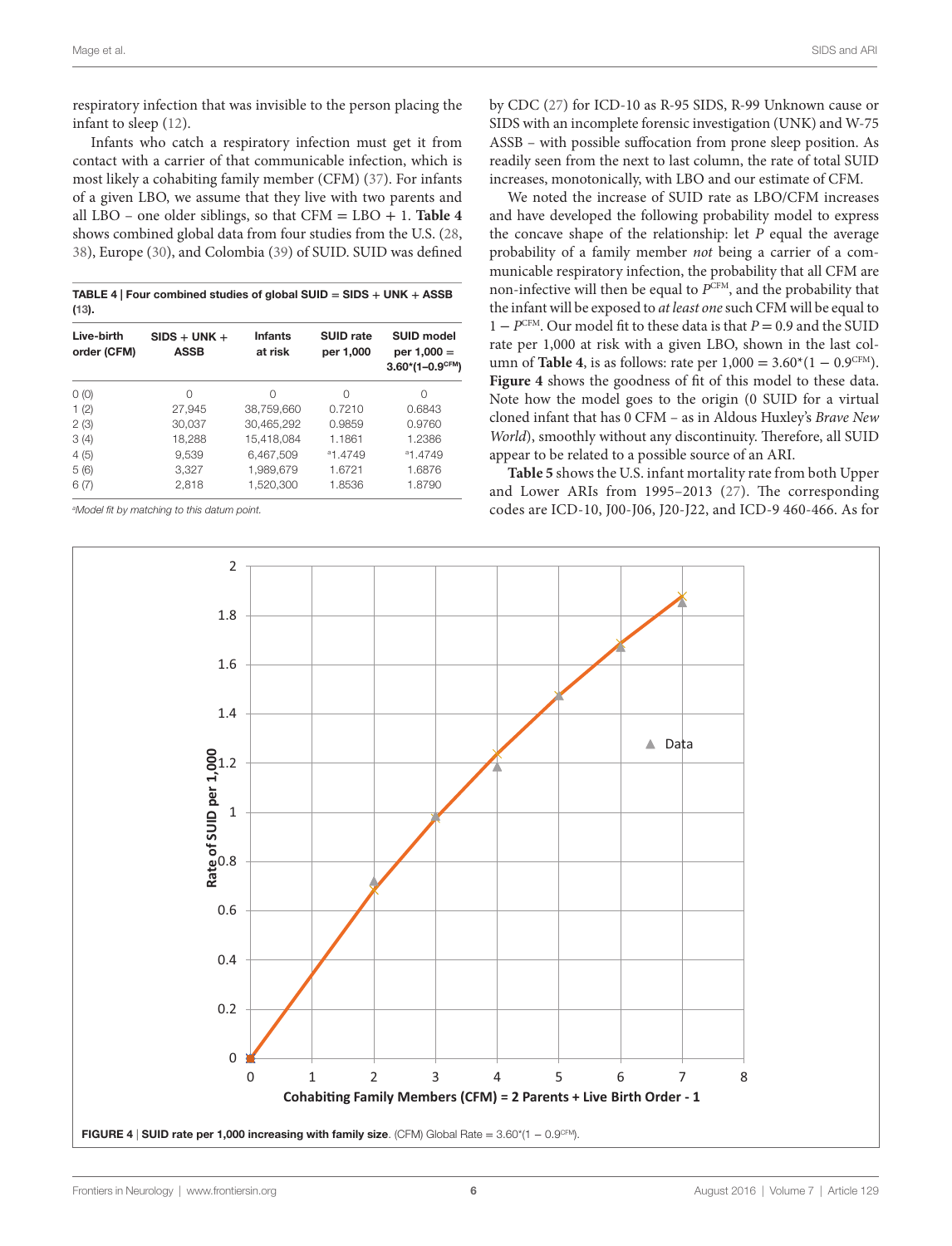respiratory infection that was invisible to the person placing the infant to sleep ([12\)](#page-9-11).

Infants who catch a respiratory infection must get it from contact with a carrier of that communicable infection, which is most likely a cohabiting family member (CFM) ([37\)](#page-10-9). For infants of a given LBO, we assume that they live with two parents and all LBO – one older siblings, so that  $CFM = LBO + 1$ . **[Table 4](#page-5-0)** shows combined global data from four studies from the U.S. ([28](#page-10-0), [38](#page-10-10)), Europe ([30](#page-10-2)), and Colombia [\(39](#page-10-11)) of SUID. SUID was defined

<span id="page-5-0"></span>TABLE 4 | Four combined studies of global SUID **=** SIDS **+** UNK **+** ASSB [\(13](#page-9-12)).

| Live-birth<br>order (CFM) | $SIDS + UNK +$<br><b>ASSB</b> | <b>Infants</b><br>at risk | <b>SUID rate</b><br>per 1,000 | <b>SUID model</b><br>per $1,000 =$<br>$3.60*(1-0.9^{\text{CFM}})$ |  |
|---------------------------|-------------------------------|---------------------------|-------------------------------|-------------------------------------------------------------------|--|
| O(0)                      | 0                             | 0                         | Ω                             | Ω                                                                 |  |
| 1(2)                      | 27,945                        | 38,759,660                | 0.7210                        | 0.6843                                                            |  |
| 2(3)                      | 30,037                        | 30,465,292                | 0.9859                        | 0.9760                                                            |  |
| 3(4)                      | 18,288                        | 15.418.084                | 1.1861                        | 1.2386                                                            |  |
| 4(5)                      | 9,539                         | 6,467,509                 | <sup>a</sup> 1.4749           | <sup>a</sup> 1.4749                                               |  |
| 5(6)                      | 3,327                         | 1.989.679                 | 1.6721                        | 1.6876                                                            |  |
| 6(7)                      | 2.818                         | 1,520,300                 | 1.8536                        | 1.8790                                                            |  |

*a Model fit by matching to this datum point.*

by CDC [\(27](#page-9-25)) for ICD-10 as R-95 SIDS, R-99 Unknown cause or SIDS with an incomplete forensic investigation (UNK) and W-75 ASSB – with possible suffocation from prone sleep position. As readily seen from the next to last column, the rate of total SUID increases, monotonically, with LBO and our estimate of CFM.

We noted the increase of SUID rate as LBO/CFM increases and have developed the following probability model to express the concave shape of the relationship: let *P* equal the average probability of a family member *not* being a carrier of a communicable respiratory infection, the probability that all CFM are non-infective will then be equal to *P*CFM, and the probability that the infant will be exposed to *at least one* such CFM will be equal to 1 − *P*CFM. Our model fit to these data is that *P* = 0.9 and the SUID rate per 1,000 at risk with a given LBO, shown in the last column of **[Table 4](#page-5-0)**, is as follows: rate per  $1,000 = 3.60*(1 − 0.9^{\text{CFM}})$ . **[Figure 4](#page-5-1)** shows the goodness of fit of this model to these data. Note how the model goes to the origin (0 SUID for a virtual cloned infant that has 0 CFM – as in Aldous Huxley's *Brave New World*), smoothly without any discontinuity. Therefore, all SUID appear to be related to a possible source of an ARI.

**[Table 5](#page-6-0)** shows the U.S. infant mortality rate from both Upper and Lower ARIs from 1995–2013 ([27](#page-9-25)). The corresponding codes are ICD-10, J00-J06, J20-J22, and ICD-9 460-466. As for

<span id="page-5-1"></span>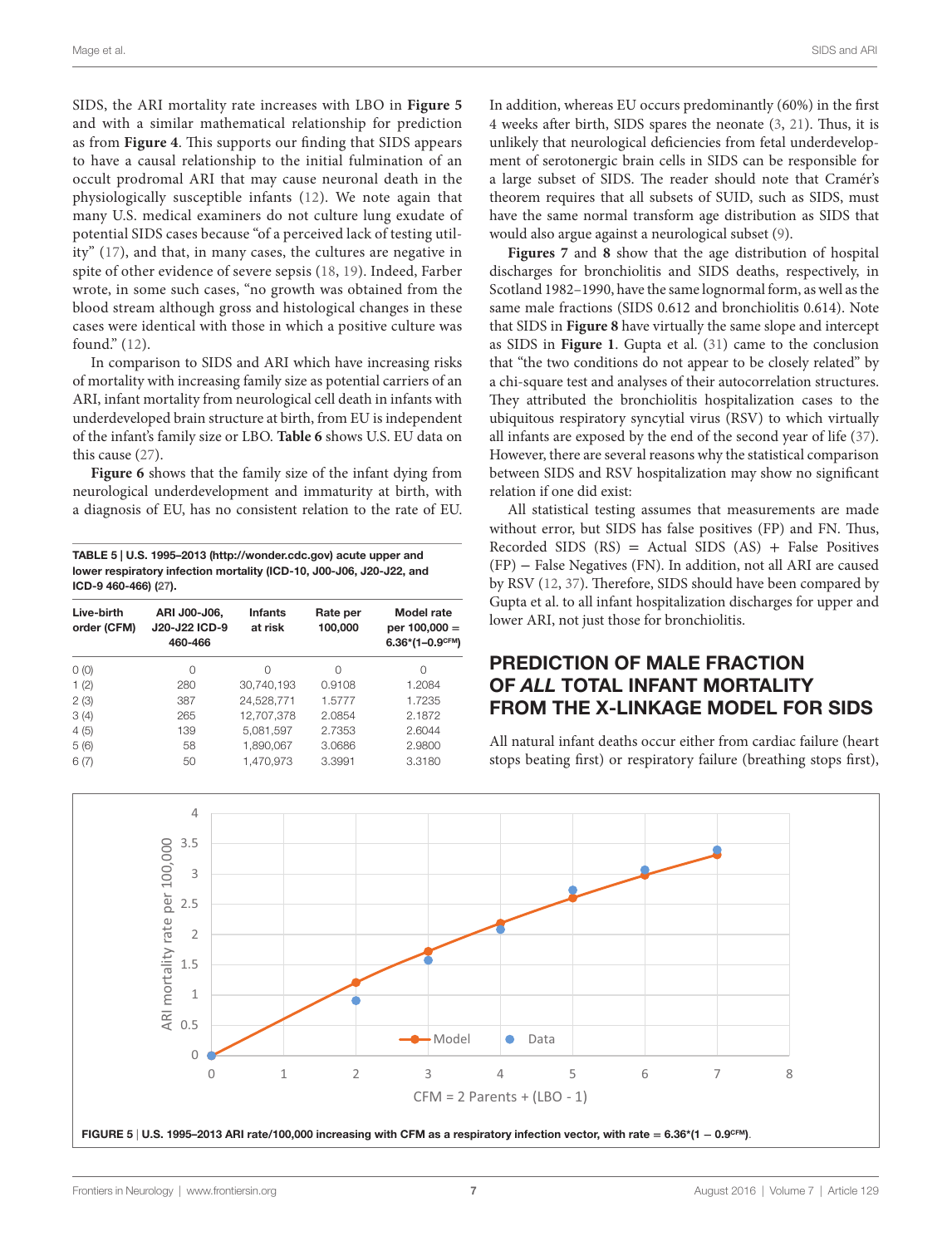SIDS, the ARI mortality rate increases with LBO in **[Figure 5](#page-6-1)** and with a similar mathematical relationship for prediction as from **[Figure 4](#page-5-1)**. This supports our finding that SIDS appears to have a causal relationship to the initial fulmination of an occult prodromal ARI that may cause neuronal death in the physiologically susceptible infants [\(12\)](#page-9-11). We note again that many U.S. medical examiners do not culture lung exudate of potential SIDS cases because "of a perceived lack of testing utility" ([17](#page-9-15)), and that, in many cases, the cultures are negative in spite of other evidence of severe sepsis ([18](#page-9-16), [19\)](#page-9-17). Indeed, Farber wrote, in some such cases, "no growth was obtained from the blood stream although gross and histological changes in these cases were identical with those in which a positive culture was found." [\(12\)](#page-9-11).

In comparison to SIDS and ARI which have increasing risks of mortality with increasing family size as potential carriers of an ARI, infant mortality from neurological cell death in infants with underdeveloped brain structure at birth, from EU is independent of the infant's family size or LBO. **[Table 6](#page-7-0)** shows U.S. EU data on this cause ([27\)](#page-9-25).

**[Figure 6](#page-7-1)** shows that the family size of the infant dying from neurological underdevelopment and immaturity at birth, with a diagnosis of EU, has no consistent relation to the rate of EU.

<span id="page-6-0"></span>TABLE 5 | U.S. 1995–2013 [\(http://wonder.cdc.gov\)](http://wonder.cdc.gov) acute upper and lower respiratory infection mortality (ICD-10, J00-J06, J20-J22, and ICD-9 460-466) ([27\)](#page-9-25).

| Live-birth<br>order (CFM) | ARI J00-J06,<br>J20-J22 ICD-9<br>460-466 | <b>Infants</b><br>at risk | Rate per<br>100,000 | Model rate<br>per $100,000 =$<br>$6.36*(1-0.9^{\text{CFM}})$ |
|---------------------------|------------------------------------------|---------------------------|---------------------|--------------------------------------------------------------|
| O(0)                      | 0                                        | $\Omega$                  | Ω                   | 0                                                            |
| 1(2)                      | 280                                      | 30.740.193                | 0.9108              | 1.2084                                                       |
| 2(3)                      | 387                                      | 24,528,771                | 1.5777              | 1.7235                                                       |
| 3(4)                      | 265                                      | 12.707.378                | 2.0854              | 2.1872                                                       |
| 4(5)                      | 139                                      | 5,081,597                 | 2.7353              | 2.6044                                                       |
| 5(6)                      | 58                                       | 1.890.067                 | 3.0686              | 2.9800                                                       |
| 6(7)                      | 50                                       | 1.470.973                 | 3.3991              | 3.3180                                                       |

In addition, whereas EU occurs predominantly (60%) in the first 4 weeks after birth, SIDS spares the neonate [\(3,](#page-9-2) [21](#page-9-19)). Thus, it is unlikely that neurological deficiencies from fetal underdevelopment of serotonergic brain cells in SIDS can be responsible for a large subset of SIDS. The reader should note that Cramér's theorem requires that all subsets of SUID, such as SIDS, must have the same normal transform age distribution as SIDS that would also argue against a neurological subset [\(9\)](#page-9-8).

**[Figures 7](#page-8-0)** and **[8](#page-8-1)** show that the age distribution of hospital discharges for bronchiolitis and SIDS deaths, respectively, in Scotland 1982–1990, have the same lognormal form, as well as the same male fractions (SIDS 0.612 and bronchiolitis 0.614). Note that SIDS in **[Figure 8](#page-8-1)** have virtually the same slope and intercept as SIDS in **[Figure 1](#page-3-0)**. Gupta et al. [\(31](#page-10-3)) came to the conclusion that "the two conditions do not appear to be closely related" by a chi-square test and analyses of their autocorrelation structures. They attributed the bronchiolitis hospitalization cases to the ubiquitous respiratory syncytial virus (RSV) to which virtually all infants are exposed by the end of the second year of life [\(37](#page-10-9)). However, there are several reasons why the statistical comparison between SIDS and RSV hospitalization may show no significant relation if one did exist:

All statistical testing assumes that measurements are made without error, but SIDS has false positives (FP) and FN. Thus, Recorded SIDS  $(RS)$  = Actual SIDS  $(AS)$  + False Positives (FP) − False Negatives (FN). In addition, not all ARI are caused by RSV [\(12](#page-9-11), [37\)](#page-10-9). Therefore, SIDS should have been compared by Gupta et al. to all infant hospitalization discharges for upper and lower ARI, not just those for bronchiolitis.

## PREDICTION OF MALE FRACTION OF *ALL* TOTAL INFANT MORTALITY FROM THE X-LINKAGE MODEL FOR SIDS

All natural infant deaths occur either from cardiac failure (heart stops beating first) or respiratory failure (breathing stops first),

<span id="page-6-1"></span>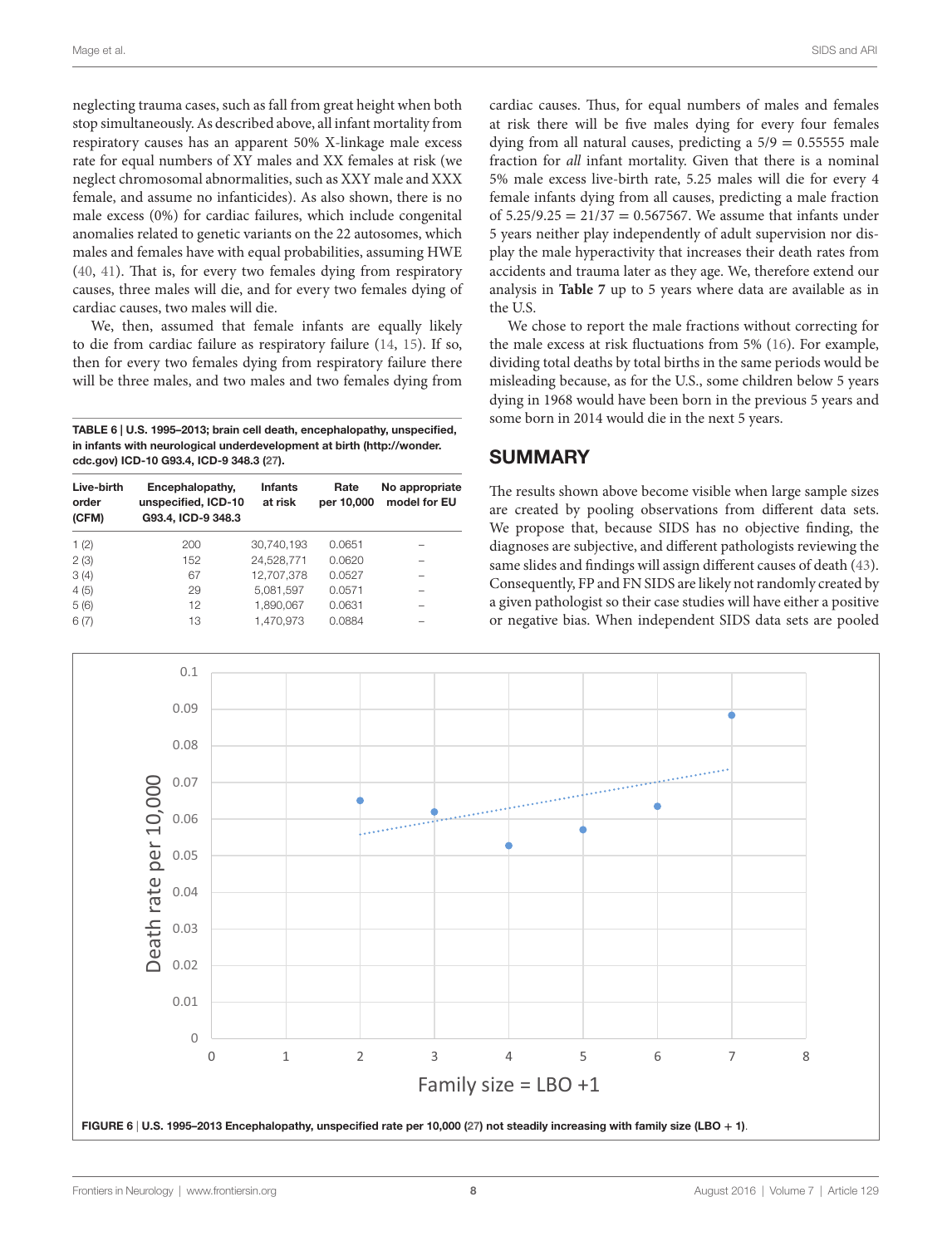neglecting trauma cases, such as fall from great height when both stop simultaneously. As described above, all infant mortality from respiratory causes has an apparent 50% X-linkage male excess rate for equal numbers of XY males and XX females at risk (we neglect chromosomal abnormalities, such as XXY male and XXX female, and assume no infanticides). As also shown, there is no male excess (0%) for cardiac failures, which include congenital anomalies related to genetic variants on the 22 autosomes, which males and females have with equal probabilities, assuming HWE ([40,](#page-10-12) [41](#page-10-13)). That is, for every two females dying from respiratory causes, three males will die, and for every two females dying of cardiac causes, two males will die.

We, then, assumed that female infants are equally likely to die from cardiac failure as respiratory failure [\(14,](#page-9-13) [15](#page-9-26)). If so, then for every two females dying from respiratory failure there will be three males, and two males and two females dying from

<span id="page-7-0"></span>TABLE 6 | U.S. 1995–2013; brain cell death, encephalopathy, unspecified, in infants with neurological underdevelopment at birth [\(http://wonder.](http://wonder.cdc.gov) [cdc.gov\)](http://wonder.cdc.gov) ICD-10 G93.4, ICD-9 348.3 [\(27](#page-9-25)).

| Live-birth<br>order<br>(CFM) | Encephalopathy,<br>unspecified, ICD-10<br>G93.4, ICD-9 348.3 | <b>Infants</b><br>at risk | Rate<br>per 10,000 | No appropriate<br>model for EU |
|------------------------------|--------------------------------------------------------------|---------------------------|--------------------|--------------------------------|
| 1(2)                         | 200                                                          | 30.740.193                | 0.0651             |                                |
| 2(3)                         | 152                                                          | 24.528.771                | 0.0620             |                                |
| 3(4)                         | 67                                                           | 12.707.378                | 0.0527             |                                |
| 4(5)                         | 29                                                           | 5.081.597                 | 0.0571             |                                |
| 5(6)                         | 12                                                           | 1.890.067                 | 0.0631             |                                |
| 6(7)                         | 13                                                           | 1.470.973                 | 0.0884             |                                |

cardiac causes. Thus, for equal numbers of males and females at risk there will be five males dying for every four females dying from all natural causes, predicting a  $5/9 = 0.55555$  male fraction for *all* infant mortality. Given that there is a nominal 5% male excess live-birth rate, 5.25 males will die for every 4 female infants dying from all causes, predicting a male fraction of  $5.25/9.25 = 21/37 = 0.567567$ . We assume that infants under 5 years neither play independently of adult supervision nor display the male hyperactivity that increases their death rates from accidents and trauma later as they age. We, therefore extend our analysis in **[Table 7](#page-8-2)** up to 5 years where data are available as in the U.S.

We chose to report the male fractions without correcting for the male excess at risk fluctuations from 5% ([16\)](#page-9-14). For example, dividing total deaths by total births in the same periods would be misleading because, as for the U.S., some children below 5 years dying in 1968 would have been born in the previous 5 years and some born in 2014 would die in the next 5 years.

### **SUMMARY**

The results shown above become visible when large sample sizes are created by pooling observations from different data sets. We propose that, because SIDS has no objective finding, the diagnoses are subjective, and different pathologists reviewing the same slides and findings will assign different causes of death [\(43](#page-10-14)). Consequently, FP and FN SIDS are likely not randomly created by a given pathologist so their case studies will have either a positive or negative bias. When independent SIDS data sets are pooled

<span id="page-7-1"></span>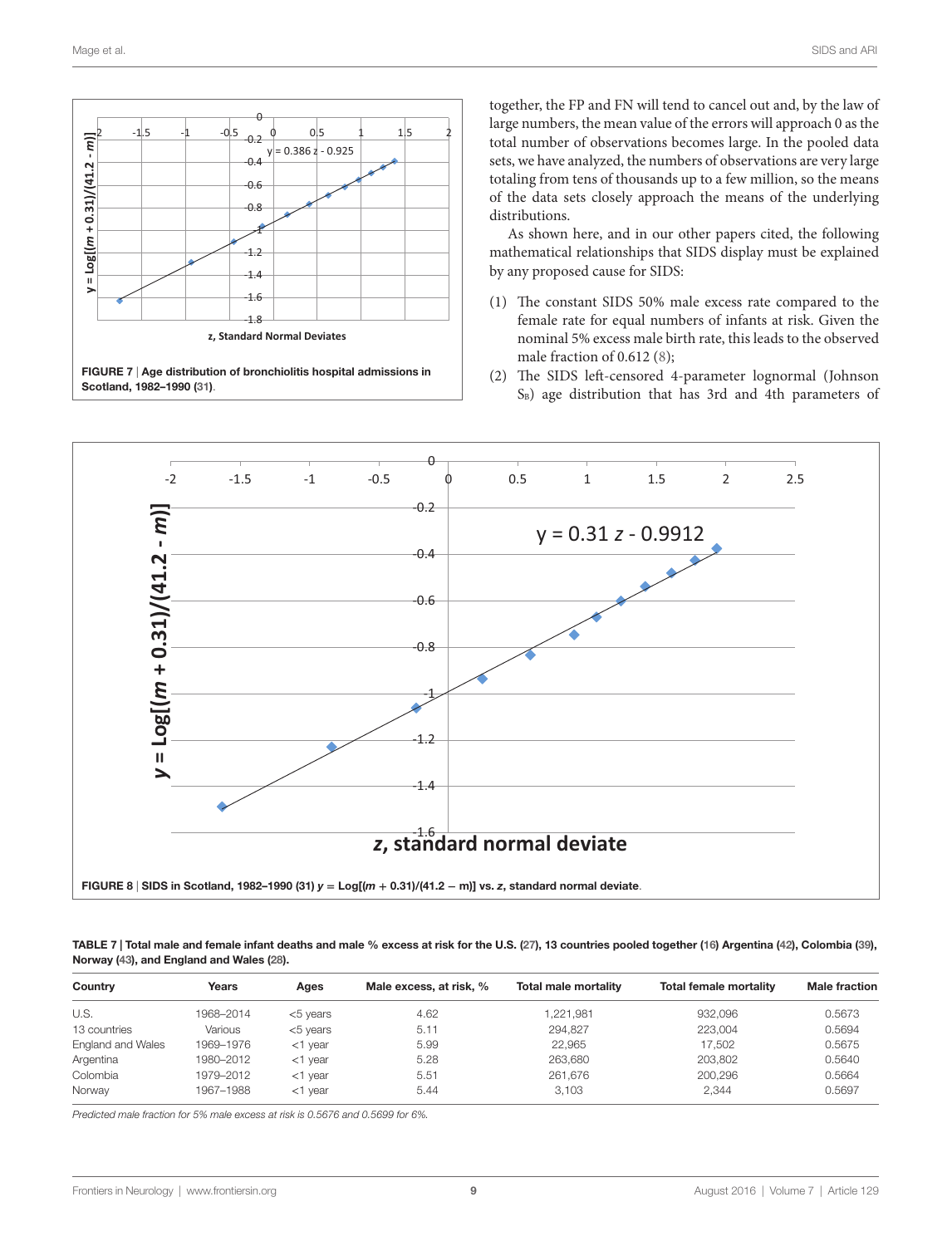

together, the FP and FN will tend to cancel out and, by the law of large numbers, the mean value of the errors will approach 0 as the total number of observations becomes large. In the pooled data sets, we have analyzed, the numbers of observations are very large totaling from tens of thousands up to a few million, so the means of the data sets closely approach the means of the underlying distributions.

As shown here, and in our other papers cited, the following mathematical relationships that SIDS display must be explained by any proposed cause for SIDS:

- (1) The constant SIDS 50% male excess rate compared to the female rate for equal numbers of infants at risk. Given the nominal 5% excess male birth rate, this leads to the observed male fraction of 0.612 [\(8\)](#page-9-7);
- (2) The SIDS left-censored 4-parameter lognormal (Johnson  $S_B$ ) age distribution that has 3rd and 4th parameters of

<span id="page-8-0"></span>

<span id="page-8-2"></span><span id="page-8-1"></span>TABLE 7 | Total male and female infant deaths and male % excess at risk for the U.S. [\(27\)](#page-9-25), 13 countries pooled together [\(16\)](#page-9-14) Argentina ([42](#page-10-15)), Colombia [\(39\)](#page-10-11), Norway ([43](#page-10-14)), and England and Wales [\(28](#page-10-0)).

| Country           | Years     | Ages        | Male excess, at risk, % | Total male mortality | <b>Total female mortality</b> | <b>Male fraction</b> |
|-------------------|-----------|-------------|-------------------------|----------------------|-------------------------------|----------------------|
| U.S.              | 1968-2014 | $<$ 5 years | 4.62                    | 1.221.981            | 932,096                       | 0.5673               |
| 13 countries      | Various   | $<$ 5 vears | 5.11                    | 294.827              | 223.004                       | 0.5694               |
| England and Wales | 1969–1976 | $<$ 1 year  | 5.99                    | 22.965               | 17.502                        | 0.5675               |
| Argentina         | 1980-2012 | $<$ 1 year  | 5.28                    | 263.680              | 203.802                       | 0.5640               |
| Colombia          | 1979–2012 | $<$ 1 year  | 5.51                    | 261.676              | 200.296                       | 0.5664               |
| Norway            | 1967-1988 | $<$ 1 year  | 5.44                    | 3.103                | 2.344                         | 0.5697               |

*Predicted male fraction for 5% male excess at risk is 0.5676 and 0.5699 for 6%.*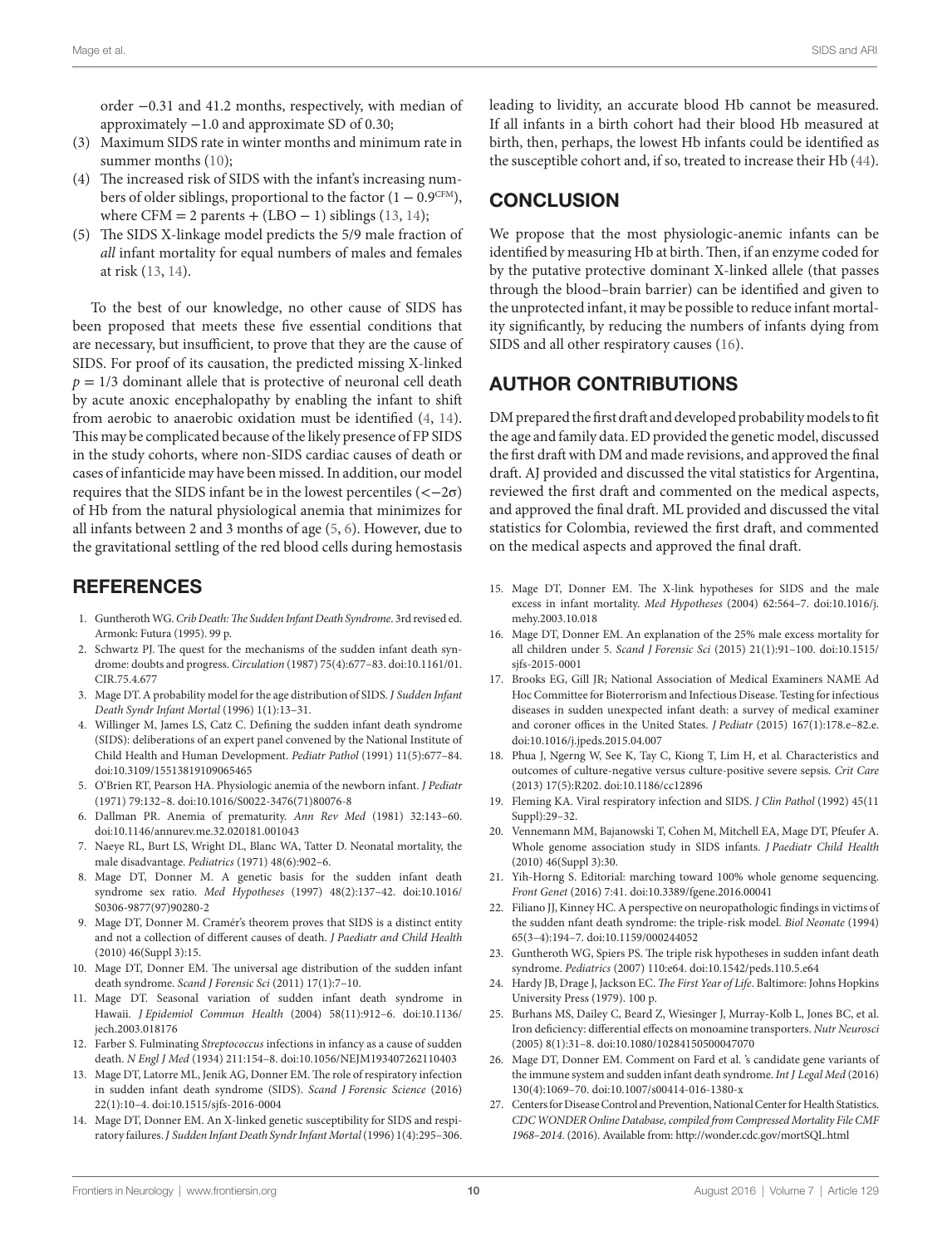order −0.31 and 41.2 months, respectively, with median of approximately −1.0 and approximate SD of 0.30;

- (3) Maximum SIDS rate in winter months and minimum rate in summer months ([10](#page-9-9));
- (4) The increased risk of SIDS with the infant's increasing numbers of older siblings, proportional to the factor  $(1 - 0.9^{\text{CFM}})$ , where CFM = 2 parents + (LBO – 1) siblings ([13,](#page-9-12) [14](#page-9-13));
- (5) The SIDS X-linkage model predicts the 5/9 male fraction of *all* infant mortality for equal numbers of males and females at risk ([13,](#page-9-12) [14](#page-9-13)).

To the best of our knowledge, no other cause of SIDS has been proposed that meets these five essential conditions that are necessary, but insufficient, to prove that they are the cause of SIDS. For proof of its causation, the predicted missing X-linked  $p = 1/3$  dominant allele that is protective of neuronal cell death by acute anoxic encephalopathy by enabling the infant to shift from aerobic to anaerobic oxidation must be identified ([4](#page-9-3), [14\)](#page-9-13). This may be complicated because of the likely presence of FP SIDS in the study cohorts, where non-SIDS cardiac causes of death or cases of infanticide may have been missed. In addition, our model requires that the SIDS infant be in the lowest percentiles  $\left\langle \langle -2\sigma \rangle \right\rangle$ of Hb from the natural physiological anemia that minimizes for all infants between 2 and 3 months of age ([5](#page-9-4), [6\)](#page-9-5). However, due to the gravitational settling of the red blood cells during hemostasis

### **REFERENCES**

- <span id="page-9-0"></span>1. Guntheroth WG. *Crib Death: The Sudden Infant Death Syndrome*. 3rd revised ed. Armonk: Futura (1995). 99 p.
- <span id="page-9-1"></span>2. Schwartz PJ. The quest for the mechanisms of the sudden infant death syndrome: doubts and progress. *Circulation* (1987) 75(4):677–83. doi[:10.1161/01.](http://dx.doi.org/10.1161/01.CIR.75.4.677) [CIR.75.4.677](http://dx.doi.org/10.1161/01.CIR.75.4.677)
- <span id="page-9-2"></span>3. Mage DT. A probability model for the age distribution of SIDS. *J Sudden Infant Death Syndr Infant Mortal* (1996) 1(1):13–31.
- <span id="page-9-3"></span>4. Willinger M, James LS, Catz C. Defining the sudden infant death syndrome (SIDS): deliberations of an expert panel convened by the National Institute of Child Health and Human Development. *Pediatr Pathol* (1991) 11(5):677–84. doi:[10.3109/15513819109065465](http://dx.doi.org/10.3109/15513819109065465)
- <span id="page-9-4"></span>5. O'Brien RT, Pearson HA. Physiologic anemia of the newborn infant. *J Pediatr* (1971) 79:132–8. doi:[10.1016/S0022-3476\(71\)80076-8](http://dx.doi.org/10.1016/S0022-3476(71)80076-8)
- <span id="page-9-5"></span>6. Dallman PR. Anemia of prematurity. *Ann Rev Med* (1981) 32:143–60. doi:[10.1146/annurev.me.32.020181.001043](http://dx.doi.org/10.1146/annurev.me.32.020181.001043)
- <span id="page-9-6"></span>7. Naeye RL, Burt LS, Wright DL, Blanc WA, Tatter D. Neonatal mortality, the male disadvantage. *Pediatrics* (1971) 48(6):902–6.
- <span id="page-9-7"></span>8. Mage DT, Donner M. A genetic basis for the sudden infant death syndrome sex ratio. *Med Hypotheses* (1997) 48(2):137–42. doi[:10.1016/](http://dx.doi.org/10.1016/S0306-9877(97)90280-2) [S0306-9877\(97\)90280-2](http://dx.doi.org/10.1016/S0306-9877(97)90280-2)
- <span id="page-9-8"></span>9. Mage DT, Donner M. Cramér's theorem proves that SIDS is a distinct entity and not a collection of different causes of death. *J Paediatr and Child Health* (2010) 46(Suppl 3):15.
- <span id="page-9-9"></span>10. Mage DT, Donner EM. The universal age distribution of the sudden infant death syndrome. *Scand J Forensic Sci* (2011) 17(1):7–10.
- <span id="page-9-10"></span>11. Mage DT. Seasonal variation of sudden infant death syndrome in Hawaii. *J Epidemiol Commun Health* (2004) 58(11):912–6. doi[:10.1136/](http://dx.doi.org/10.1136/jech.2003.018176) [jech.2003.018176](http://dx.doi.org/10.1136/jech.2003.018176)
- <span id="page-9-11"></span>12. Farber S. Fulminating *Streptococcus* infections in infancy as a cause of sudden death. *N Engl J Med* (1934) 211:154–8. doi[:10.1056/NEJM193407262110403](http://dx.doi.org/10.1056/NEJM193407262110403)
- <span id="page-9-12"></span>13. Mage DT, Latorre ML, Jenik AG, Donner EM. The role of respiratory infection in sudden infant death syndrome (SIDS). *Scand J Forensic Science* (2016) 22(1):10–4. doi:[10.1515/sjfs-2016-0004](http://dx.doi.org/10.1515/sjfs-2016-0004)
- <span id="page-9-13"></span>14. Mage DT, Donner EM. An X-linked genetic susceptibility for SIDS and respiratory failures. *J Sudden Infant Death Syndr Infant Mortal* (1996) 1(4):295–306.

leading to lividity, an accurate blood Hb cannot be measured. If all infants in a birth cohort had their blood Hb measured at birth, then, perhaps, the lowest Hb infants could be identified as the susceptible cohort and, if so, treated to increase their Hb [\(44](#page-10-16)).

# **CONCLUSION**

We propose that the most physiologic-anemic infants can be identified by measuring Hb at birth. Then, if an enzyme coded for by the putative protective dominant X-linked allele (that passes through the blood–brain barrier) can be identified and given to the unprotected infant, it may be possible to reduce infant mortality significantly, by reducing the numbers of infants dying from SIDS and all other respiratory causes ([16\)](#page-9-14).

### AUTHOR CONTRIBUTIONS

DM prepared the first draft and developed probability models to fit the age and family data. ED provided the genetic model, discussed the first draft with DM and made revisions, and approved the final draft. AJ provided and discussed the vital statistics for Argentina, reviewed the first draft and commented on the medical aspects, and approved the final draft. ML provided and discussed the vital statistics for Colombia, reviewed the first draft, and commented on the medical aspects and approved the final draft.

- <span id="page-9-26"></span>15. Mage DT, Donner EM. The X-link hypotheses for SIDS and the male excess in infant mortality. *Med Hypotheses* (2004) 62:564–7. doi:[10.1016/j.](http://dx.doi.org/10.1016/j.mehy.2003.10.018) [mehy.2003.10.018](http://dx.doi.org/10.1016/j.mehy.2003.10.018)
- <span id="page-9-14"></span>16. Mage DT, Donner EM. An explanation of the 25% male excess mortality for all children under 5. *Scand J Forensic Sci* (2015) 21(1):91–100. doi[:10.1515/](http://dx.doi.org/10.1515/sjfs-2015-0001) [sjfs-2015-0001](http://dx.doi.org/10.1515/sjfs-2015-0001)
- <span id="page-9-15"></span>17. Brooks EG, Gill JR; National Association of Medical Examiners NAME Ad Hoc Committee for Bioterrorism and Infectious Disease. Testing for infectious diseases in sudden unexpected infant death: a survey of medical examiner and coroner offices in the United States. *J Pediatr* (2015) 167(1):178.e–82.e. doi:[10.1016/j.jpeds.2015.04.007](http://dx.doi.org/10.1016/j.jpeds.2015.04.007)
- <span id="page-9-16"></span>18. Phua J, Ngerng W, See K, Tay C, Kiong T, Lim H, et al. Characteristics and outcomes of culture-negative versus culture-positive severe sepsis. *Crit Care* (2013) 17(5):R202. doi[:10.1186/cc12896](http://dx.doi.org/10.1186/cc12896)
- <span id="page-9-17"></span>19. Fleming KA. Viral respiratory infection and SIDS. *J Clin Pathol* (1992) 45(11 Suppl):29–32.
- <span id="page-9-18"></span>20. Vennemann MM, Bajanowski T, Cohen M, Mitchell EA, Mage DT, Pfeufer A. Whole genome association study in SIDS infants. *J Paediatr Child Health* (2010) 46(Suppl 3):30.
- <span id="page-9-19"></span>21. Yih-Horng S. Editorial: marching toward 100% whole genome sequencing. *Front Genet* (2016) 7:41. doi[:10.3389/fgene.2016.00041](http://dx.doi.org/10.3389/fgene.2016.00041)
- <span id="page-9-20"></span>22. Filiano JJ, Kinney HC. A perspective on neuropathologic findings in victims of the sudden nfant death syndrome: the triple-risk model. *Biol Neonate* (1994) 65(3–4):194–7. doi[:10.1159/000244052](http://dx.doi.org/10.1159/000244052)
- <span id="page-9-21"></span>23. Guntheroth WG, Spiers PS. The triple risk hypotheses in sudden infant death syndrome. *Pediatrics* (2007) 110:e64. doi:[10.1542/peds.110.5.e64](http://dx.doi.org/10.1542/peds.110.5.e64)
- <span id="page-9-22"></span>24. Hardy JB, Drage J, Jackson EC. *The First Year of Life*. Baltimore: Johns Hopkins University Press (1979). 100 p.
- <span id="page-9-23"></span>25. Burhans MS, Dailey C, Beard Z, Wiesinger J, Murray-Kolb L, Jones BC, et al. Iron deficiency: differential effects on monoamine transporters. *Nutr Neurosci* (2005) 8(1):31–8. doi[:10.1080/10284150500047070](http://dx.doi.org/10.1080/10284150500047070)
- <span id="page-9-24"></span>26. Mage DT, Donner EM. Comment on Fard et al. 's candidate gene variants of the immune system and sudden infant death syndrome. *Int J Legal Med* (2016) 130(4):1069–70. doi:[10.1007/s00414-016-1380-x](http://dx.doi.org/10.1007/s00414-016-1380-x)
- <span id="page-9-25"></span>27. Centers for Disease Control and Prevention, National Center for Health Statistics. *CDC WONDER Online Database, compiled from Compressed Mortality File CMF 1968–2014*. (2016). Available from: <http://wonder.cdc.gov/mortSQL.html>